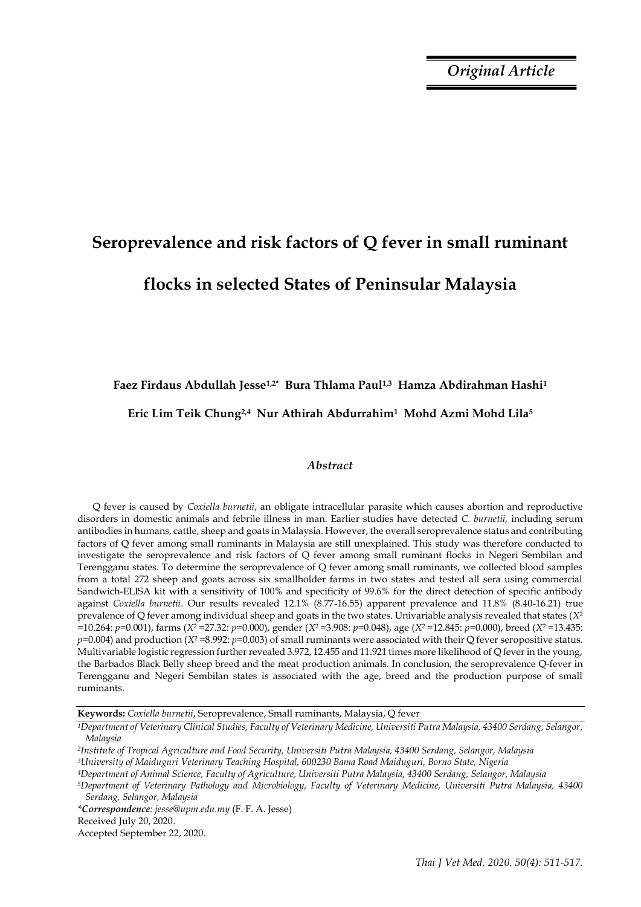*Original Article*

# **Seroprevalence and risk factors of Q fever in small ruminant**

# **flocks in selected States of Peninsular Malaysia**

## **Faez Firdaus Abdullah Jesse1,2\* Bura Thlama Paul1,3 Hamza Abdirahman Hashi<sup>1</sup>**

### **Eric Lim Teik Chung2,4 Nur Athirah Abdurrahim1 Mohd Azmi Mohd Lila<sup>5</sup>**

#### *Abstract*

Q fever is caused by *Coxiella burnetii*, an obligate intracellular parasite which causes abortion and reproductive disorders in domestic animals and febrile illness in man. Earlier studies have detected *C. burnetii,* including serum antibodies in humans, cattle, sheep and goats in Malaysia. However, the overall seroprevalence status and contributing factors of Q fever among small ruminants in Malaysia are still unexplained. This study was therefore conducted to investigate the seroprevalence and risk factors of Q fever among small ruminant flocks in Negeri Sembilan and Terengganu states. To determine the seroprevalence of Q fever among small ruminants, we collected blood samples from a total 272 sheep and goats across six smallholder farms in two states and tested all sera using commercial Sandwich-ELISA kit with a sensitivity of 100% and specificity of 99.6% for the direct detection of specific antibody against *Coxiella burnetii*. Our results revealed 12.1% (8.77-16.55) apparent prevalence and 11.8% (8.40-16.21) true prevalence of Q fever among individual sheep and goats in the two states. Univariable analysis revealed that states (*X*<sup>2</sup> =10.264: *p*=0.001), farms (*X*2 =27.32: *p*=0.000), gender (*X*2 =3.908: *p*=0.048), age (*X*2 =12.845: *p*=0.000), breed (*X*2 =13.435: *p*=0.004) and production (*X*2 =8.992: *p*=0.003) of small ruminants were associated with their Q fever seropositive status. Multivariable logistic regression further revealed 3.972, 12.455 and 11.921 times more likelihood of Q fever in the young, the Barbados Black Belly sheep breed and the meat production animals. In conclusion, the seroprevalence Q-fever in Terengganu and Negeri Sembilan states is associated with the age, breed and the production purpose of small ruminants.

**Keywords:** *Coxiella burnetii*, Seroprevalence, Small ruminants, Malaysia, Q fever

*\*Correspondence: jesse@upm.edu.my* (F. F. A. Jesse) Received July 20, 2020. Accepted September 22, 2020.

*<sup>1</sup>Department of Veterinary Clinical Studies, Faculty of Veterinary Medicine, Universiti Putra Malaysia, 43400 Serdang, Selangor, Malaysia*

*<sup>2</sup>Institute of Tropical Agriculture and Food Security, Universiti Putra Malaysia, 43400 Serdang, Selangor, Malaysia*

*<sup>3</sup>University of Maiduguri Veterinary Teaching Hospital, 600230 Bama Road Maiduguri, Borno State, Nigeria*

*<sup>4</sup>Department of Animal Science, Faculty of Agriculture, Universiti Putra Malaysia, 43400 Serdang, Selangor, Malaysia <sup>5</sup>Department of Veterinary Pathology and Microbiology, Faculty of Veterinary Medicine, Universiti Putra Malaysia, 43400 Serdang, Selangor, Malaysia*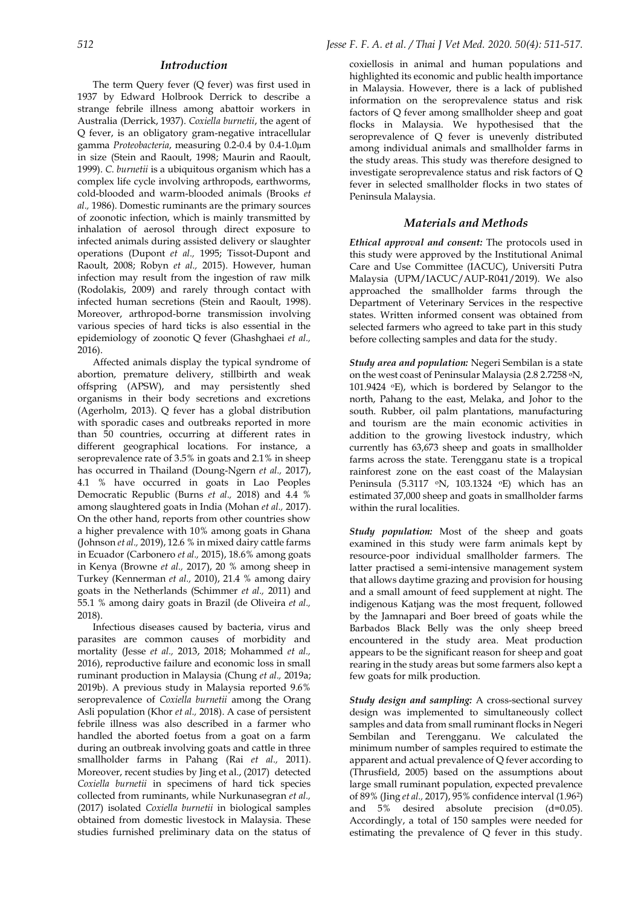#### *Introduction*

The term Query fever (Q fever) was first used in 1937 by Edward Holbrook Derrick to describe a strange febrile illness among abattoir workers in Australia (Derrick, 1937). *Coxiella burnetii*, the agent of Q fever, is an obligatory gram-negative intracellular gamma *Proteobacteria*, measuring 0.2-0.4 by 0.4-1.0µm in size (Stein and Raoult, 1998; Maurin and Raoult, 1999). *C. burnetii* is a ubiquitous organism which has a complex life cycle involving arthropods, earthworms, cold-blooded and warm-blooded animals (Brooks *et al.,* 1986). Domestic ruminants are the primary sources of zoonotic infection, which is mainly transmitted by inhalation of aerosol through direct exposure to infected animals during assisted delivery or slaughter operations (Dupont *et al.,* 1995; Tissot-Dupont and Raoult, 2008; Robyn *et al.,* 2015). However, human infection may result from the ingestion of raw milk (Rodolakis, 2009) and rarely through contact with infected human secretions (Stein and Raoult, 1998). Moreover, arthropod-borne transmission involving various species of hard ticks is also essential in the epidemiology of zoonotic Q fever (Ghashghaei *et al.,* 2016).

Affected animals display the typical syndrome of abortion, premature delivery, stillbirth and weak offspring (APSW), and may persistently shed organisms in their body secretions and excretions (Agerholm, 2013). Q fever has a global distribution with sporadic cases and outbreaks reported in more than 50 countries, occurring at different rates in different geographical locations. For instance, a seroprevalence rate of 3.5% in goats and 2.1% in sheep has occurred in Thailand (Doung-Ngern *et al.,* 2017), 4.1 % have occurred in goats in Lao Peoples Democratic Republic (Burns *et al.,* 2018) and 4.4 % among slaughtered goats in India (Mohan *et al.,* 2017). On the other hand, reports from other countries show a higher prevalence with 10% among goats in Ghana (Johnson *et al.,* 2019), 12.6 % in mixed dairy cattle farms in Ecuador (Carbonero *et al.,* 2015), 18.6% among goats in Kenya (Browne *et al.,* 2017), 20 % among sheep in Turkey (Kennerman *et al.,* 2010), 21.4 % among dairy goats in the Netherlands (Schimmer *et al.,* 2011) and 55.1 % among dairy goats in Brazil (de Oliveira *et al.,* 2018).

Infectious diseases caused by bacteria, virus and parasites are common causes of morbidity and mortality (Jesse *et al.,* 2013, 2018; Mohammed *et al.,* 2016), reproductive failure and economic loss in small ruminant production in Malaysia (Chung *et al.,* 2019a; 2019b). A previous study in Malaysia reported 9.6% seroprevalence of *Coxiella burnetii* among the Orang Asli population (Khor *et al.,* 2018). A case of persistent febrile illness was also described in a farmer who handled the aborted foetus from a goat on a farm during an outbreak involving goats and cattle in three smallholder farms in Pahang (Rai *et al.,* 2011). Moreover, recent studies by Jing et al., (2017) detected *Coxiella burnetii* in specimens of hard tick species collected from ruminants, while Nurkunasegran *et al.,* (2017) isolated *Coxiella burnetii* in biological samples obtained from domestic livestock in Malaysia. These studies furnished preliminary data on the status of

coxiellosis in animal and human populations and highlighted its economic and public health importance in Malaysia. However, there is a lack of published information on the seroprevalence status and risk factors of Q fever among smallholder sheep and goat flocks in Malaysia. We hypothesised that the seroprevalence of Q fever is unevenly distributed among individual animals and smallholder farms in the study areas. This study was therefore designed to investigate seroprevalence status and risk factors of Q fever in selected smallholder flocks in two states of Peninsula Malaysia.

#### *Materials and Methods*

*Ethical approval and consent:* The protocols used in this study were approved by the Institutional Animal Care and Use Committee (IACUC), Universiti Putra Malaysia (UPM/IACUC/AUP-R041/2019). We also approached the smallholder farms through the Department of Veterinary Services in the respective states. Written informed consent was obtained from selected farmers who agreed to take part in this study before collecting samples and data for the study.

*Study area and population:* Negeri Sembilan is a state on the west coast of Peninsular Malaysia (2.8 2.7258 oN, 101.9424 oE), which is bordered by Selangor to the north, Pahang to the east, Melaka, and Johor to the south. Rubber, oil palm plantations, manufacturing and tourism are the main economic activities in addition to the growing livestock industry, which currently has 63,673 sheep and goats in smallholder farms across the state. Terengganu state is a tropical rainforest zone on the east coast of the Malaysian Peninsula (5.3117 oN, 103.1324 oE) which has an estimated 37,000 sheep and goats in smallholder farms within the rural localities.

*Study population:* Most of the sheep and goats examined in this study were farm animals kept by resource-poor individual smallholder farmers. The latter practised a semi-intensive management system that allows daytime grazing and provision for housing and a small amount of feed supplement at night. The indigenous Katjang was the most frequent, followed by the Jamnapari and Boer breed of goats while the Barbados Black Belly was the only sheep breed encountered in the study area. Meat production appears to be the significant reason for sheep and goat rearing in the study areas but some farmers also kept a few goats for milk production.

*Study design and sampling:* A cross-sectional survey design was implemented to simultaneously collect samples and data from small ruminant flocks in Negeri Sembilan and Terengganu. We calculated the minimum number of samples required to estimate the apparent and actual prevalence of Q fever according to (Thrusfield, 2005) based on the assumptions about large small ruminant population, expected prevalence of 89% (Jing *et al.,* 2017), 95% confidence interval (1.962) and 5% desired absolute precision (d=0.05). Accordingly, a total of 150 samples were needed for estimating the prevalence of Q fever in this study.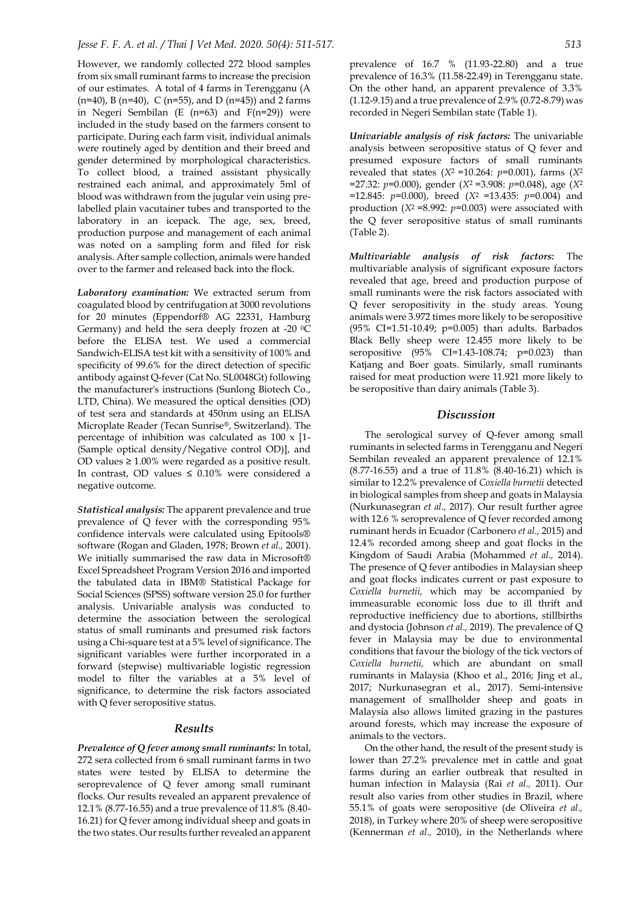However, we randomly collected 272 blood samples from six small ruminant farms to increase the precision of our estimates. A total of 4 farms in Terengganu (A  $(n=40)$ , B  $(n=40)$ , C  $(n=55)$ , and D  $(n=45)$  and 2 farms in Negeri Sembilan (E (n=63) and F(n=29)) were included in the study based on the farmers consent to participate. During each farm visit, individual animals were routinely aged by dentition and their breed and gender determined by morphological characteristics. To collect blood, a trained assistant physically restrained each animal, and approximately 5ml of blood was withdrawn from the jugular vein using prelabelled plain vacutainer tubes and transported to the laboratory in an icepack. The age, sex, breed, production purpose and management of each animal was noted on a sampling form and filed for risk analysis. After sample collection, animals were handed over to the farmer and released back into the flock.

*Laboratory examination:* We extracted serum from coagulated blood by centrifugation at 3000 revolutions for 20 minutes (Eppendorf® AG 22331, Hamburg Germany) and held the sera deeply frozen at -20 °C before the ELISA test. We used a commercial Sandwich-ELISA test kit with a sensitivity of 100% and specificity of 99.6% for the direct detection of specific antibody against Q-fever (Cat No. SL0048Gt) following the manufacturer's instructions (Sunlong Biotech Co., LTD, China). We measured the optical densities (OD) of test sera and standards at 450nm using an ELISA Microplate Reader (Tecan Sunrise®, Switzerland). The percentage of inhibition was calculated as 100 x [1- (Sample optical density/Negative control OD)], and OD values  $\geq 1.00\%$  were regarded as a positive result. In contrast, OD values ≤ 0.10% were considered a negative outcome.

*Statistical analysis:* The apparent prevalence and true prevalence of Q fever with the corresponding 95% confidence intervals were calculated using Epitools® software (Rogan and Gladen, 1978; Brown *et al.,* 2001). We initially summarised the raw data in Microsoft® Excel Spreadsheet Program Version 2016 and imported the tabulated data in IBM® Statistical Package for Social Sciences (SPSS) software version 25.0 for further analysis. Univariable analysis was conducted to determine the association between the serological status of small ruminants and presumed risk factors using a Chi-square test at a 5% level of significance. The significant variables were further incorporated in a forward (stepwise) multivariable logistic regression model to filter the variables at a 5% level of significance, to determine the risk factors associated with Q fever seropositive status.

#### *Results*

*Prevalence of Q fever among small ruminants:* In total, 272 sera collected from 6 small ruminant farms in two states were tested by ELISA to determine the seroprevalence of Q fever among small ruminant flocks. Our results revealed an apparent prevalence of 12.1% (8.77-16.55) and a true prevalence of 11.8% (8.40- 16.21) for Q fever among individual sheep and goats in the two states. Our results further revealed an apparent

prevalence of 16.7 % (11.93-22.80) and a true prevalence of 16.3% (11.58-22.49) in Terengganu state. On the other hand, an apparent prevalence of 3.3% (1.12-9.15) and a true prevalence of 2.9% (0.72-8.79) was recorded in Negeri Sembilan state (Table 1).

*Univariable analysis of risk factors:* The univariable analysis between seropositive status of Q fever and presumed exposure factors of small ruminants revealed that states (*X*2 =10.264: *p*=0.001), farms (*X*<sup>2</sup> =27.32: *p*=0.000), gender (*X*2 =3.908: *p*=0.048), age (*X*<sup>2</sup> =12.845: *p*=0.000), breed (*X*2 =13.435: *p*=0.004) and production (*X*2 =8.992: *p*=0.003) were associated with the Q fever seropositive status of small ruminants (Table 2).

*Multivariable analysis of risk factors:* The multivariable analysis of significant exposure factors revealed that age, breed and production purpose of small ruminants were the risk factors associated with Q fever seropositivity in the study areas. Young animals were 3.972 times more likely to be seropositive (95% CI=1.51-10.49; p=0.005) than adults. Barbados Black Belly sheep were 12.455 more likely to be seropositive (95% CI=1.43-108.74; p=0.023) than Katjang and Boer goats. Similarly, small ruminants raised for meat production were 11.921 more likely to be seropositive than dairy animals (Table 3).

#### *Discussion*

The serological survey of Q-fever among small ruminants in selected farms in Terengganu and Negeri Sembilan revealed an apparent prevalence of 12.1% (8.77-16.55) and a true of 11.8% (8.40-16.21) which is similar to 12.2% prevalence of *Coxiella burnetii* detected in biological samples from sheep and goats in Malaysia (Nurkunasegran *et al.,* 2017). Our result further agree with 12.6 % seroprevalence of Q fever recorded among ruminant herds in Ecuador (Carbonero *et al.,* 2015) and 12.4% recorded among sheep and goat flocks in the Kingdom of Saudi Arabia (Mohammed *et al.,* 2014). The presence of Q fever antibodies in Malaysian sheep and goat flocks indicates current or past exposure to *Coxiella burnetii,* which may be accompanied by immeasurable economic loss due to ill thrift and reproductive inefficiency due to abortions, stillbirths and dystocia (Johnson *et al.,* 2019). The prevalence of Q fever in Malaysia may be due to environmental conditions that favour the biology of the tick vectors of *Coxiella burnetii,* which are abundant on small ruminants in Malaysia (Khoo et al., 2016; Jing et al., 2017; Nurkunasegran et al., 2017). Semi-intensive management of smallholder sheep and goats in Malaysia also allows limited grazing in the pastures around forests, which may increase the exposure of animals to the vectors.

On the other hand, the result of the present study is lower than 27.2% prevalence met in cattle and goat farms during an earlier outbreak that resulted in human infection in Malaysia (Rai *et al.,* 2011). Our result also varies from other studies in Brazil, where 55.1% of goats were seropositive (de Oliveira *et al.,* 2018), in Turkey where 20% of sheep were seropositive (Kennerman *et al.,* 2010), in the Netherlands where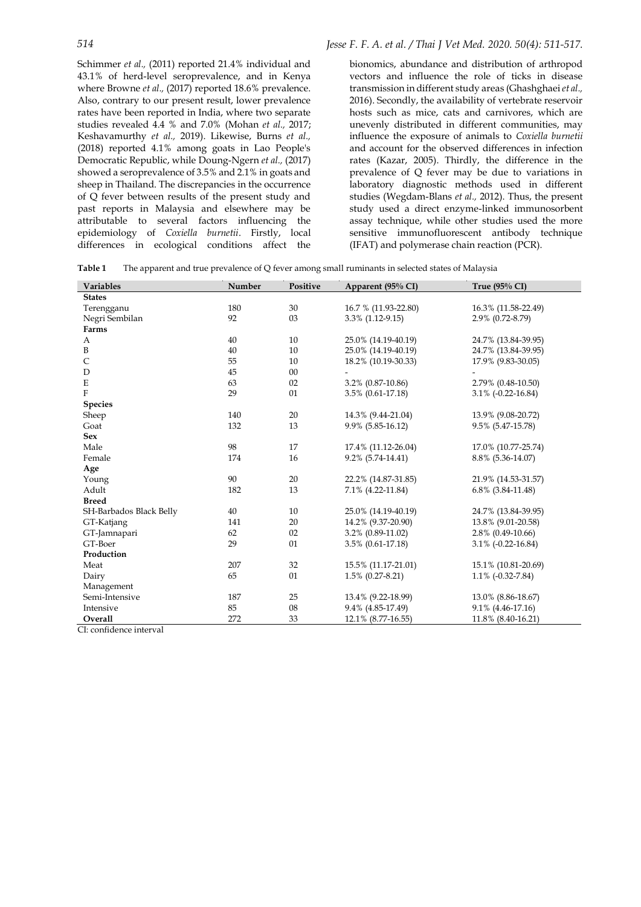Schimmer *et al.,* (2011) reported 21.4% individual and 43.1% of herd-level seroprevalence, and in Kenya where Browne *et al.*, (2017) reported 18.6% prevalence. Also, contrary to our present result, lower prevalence rates have been reported in India, where two separate studies revealed 4.4 % and 7.0% (Mohan *et al.,* 2017; Keshavamurthy *et al.,* 2019). Likewise, Burns *et al.,* (2018) reported 4.1% among goats in Lao People's Democratic Republic, while Doung-Ngern *et al.*, (2017) showed a seroprevalence of 3.5% and 2.1% in goats and sheep in Thailand. The discrepancies in the occurrence of Q fever between results of the present study and past reports in Malaysia and elsewhere may be attributable to several factors influencing the epidemiology of *Coxiella burnetii*. Firstly, local differences in ecological conditions affect the

bionomics, abundance and distribution of arthropod vectors and influence the role of ticks in disease transmission in different study areas (Ghashghaei *et al.,* 2016). Secondly, the availability of vertebrate reservoir hosts such as mice, cats and carnivores, which are unevenly distributed in different communities, may influence the exposure of animals to *Coxiella burnetii* and account for the observed differences in infection rates (Kazar, 2005). Thirdly, the difference in the prevalence of Q fever may be due to variations in laboratory diagnostic methods used in different studies (Wegdam-Blans *et al.,* 2012). Thus, the present study used a direct enzyme-linked immunosorbent assay technique, while other studies used the more sensitive immunofluorescent antibody technique (IFAT) and polymerase chain reaction (PCR).

**Table 1** The apparent and true prevalence of Q fever among small ruminants in selected states of Malaysia

| <b>Variables</b>        | Number | Positive | Apparent (95% CI)    | True (95% CI)         |
|-------------------------|--------|----------|----------------------|-----------------------|
| <b>States</b>           |        |          |                      |                       |
| Terengganu              | 180    | 30       | 16.7 % (11.93-22.80) | 16.3% (11.58-22.49)   |
| Negri Sembilan          | 92     | 03       | 3.3% (1.12-9.15)     | 2.9% (0.72-8.79)      |
| Farms                   |        |          |                      |                       |
| A                       | 40     | 10       | 25.0% (14.19-40.19)  | 24.7% (13.84-39.95)   |
| $\, {\bf B}$            | 40     | 10       | 25.0% (14.19-40.19)  | 24.7% (13.84-39.95)   |
| C                       | 55     | 10       | 18.2% (10.19-30.33)  | 17.9% (9.83-30.05)    |
| D                       | 45     | 00       |                      |                       |
| ${\bf E}$               | 63     | 02       | 3.2% (0.87-10.86)    | 2.79% (0.48-10.50)    |
| $\rm F$                 | 29     | 01       | 3.5% (0.61-17.18)    | $3.1\%$ (-0.22-16.84) |
| <b>Species</b>          |        |          |                      |                       |
| Sheep                   | 140    | 20       | 14.3% (9.44-21.04)   | 13.9% (9.08-20.72)    |
| Goat                    | 132    | 13       | 9.9% (5.85-16.12)    | 9.5% (5.47-15.78)     |
| <b>Sex</b>              |        |          |                      |                       |
| Male                    | 98     | 17       | 17.4% (11.12-26.04)  | 17.0% (10.77-25.74)   |
| Female                  | 174    | 16       | 9.2% (5.74-14.41)    | 8.8% (5.36-14.07)     |
| Age                     |        |          |                      |                       |
| Young                   | 90     | 20       | 22.2% (14.87-31.85)  | 21.9% (14.53-31.57)   |
| Adult                   | 182    | 13       | 7.1% (4.22-11.84)    | $6.8\%$ (3.84-11.48)  |
| <b>Breed</b>            |        |          |                      |                       |
| SH-Barbados Black Belly | 40     | 10       | 25.0% (14.19-40.19)  | 24.7% (13.84-39.95)   |
| GT-Katjang              | 141    | 20       | 14.2% (9.37-20.90)   | 13.8% (9.01-20.58)    |
| GT-Jamnapari            | 62     | 02       | 3.2% (0.89-11.02)    | 2.8% (0.49-10.66)     |
| GT-Boer                 | 29     | 01       | 3.5% (0.61-17.18)    | $3.1\%$ (-0.22-16.84) |
| Production              |        |          |                      |                       |
| Meat                    | 207    | 32       | 15.5% (11.17-21.01)  | 15.1% (10.81-20.69)   |
| Dairy                   | 65     | 01       | $1.5\%$ (0.27-8.21)  | $1.1\%$ (-0.32-7.84)  |
| Management              |        |          |                      |                       |
| Semi-Intensive          | 187    | 25       | 13.4% (9.22-18.99)   | 13.0% (8.86-18.67)    |
| Intensive               | 85     | 08       | 9.4% (4.85-17.49)    | 9.1% (4.46-17.16)     |
| Overall                 | 272    | 33       | 12.1% (8.77-16.55)   | 11.8% (8.40-16.21)    |

CI: confidence interval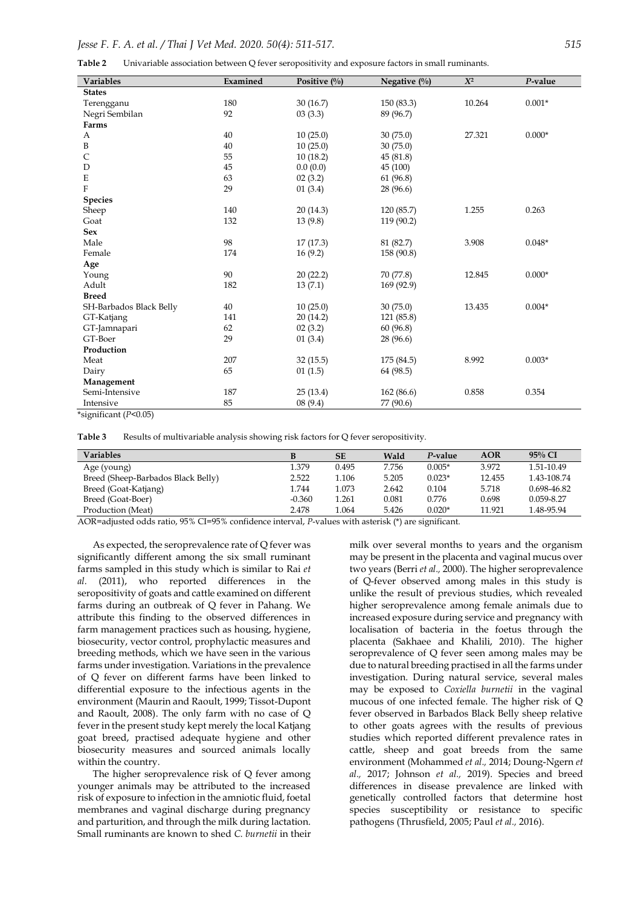| Table 2 | Univariable association between Q fever seropositivity and exposure factors in small ruminants. |  |  |  |  |  |
|---------|-------------------------------------------------------------------------------------------------|--|--|--|--|--|
|---------|-------------------------------------------------------------------------------------------------|--|--|--|--|--|

| <b>Variables</b>             | Examined | Positive $\left(\frac{0}{0}\right)$ | Negative $(\%$ | $X^2$  | P-value  |
|------------------------------|----------|-------------------------------------|----------------|--------|----------|
| <b>States</b>                |          |                                     |                |        |          |
| Terengganu                   | 180      | 30(16.7)                            | 150(83.3)      | 10.264 | $0.001*$ |
| Negri Sembilan               | 92       | 03(3.3)                             | 89 (96.7)      |        |          |
| Farms                        |          |                                     |                |        |          |
| A                            | 40       | 10(25.0)                            | 30(75.0)       | 27.321 | $0.000*$ |
| $\, {\bf B}$                 | 40       | 10(25.0)                            | 30(75.0)       |        |          |
| C                            | 55       | 10(18.2)                            | 45(81.8)       |        |          |
| D                            | 45       | 0.0(0.0)                            | 45 (100)       |        |          |
| $\mathbf E$                  | 63       | 02(3.2)                             | 61 (96.8)      |        |          |
| $\rm F$                      | 29       | 01(3.4)                             | 28 (96.6)      |        |          |
| Species                      |          |                                     |                |        |          |
| Sheep                        | 140      | 20(14.3)                            | 120 (85.7)     | 1.255  | 0.263    |
| Goat                         | 132      | 13(9.8)                             | 119 (90.2)     |        |          |
| <b>Sex</b>                   |          |                                     |                |        |          |
| Male                         | 98       | 17(17.3)                            | 81 (82.7)      | 3.908  | $0.048*$ |
| Female                       | 174      | 16(9.2)                             | 158 (90.8)     |        |          |
| Age                          |          |                                     |                |        |          |
| Young                        | 90       | 20(22.2)                            | 70 (77.8)      | 12.845 | $0.000*$ |
| Adult                        | 182      | 13(7.1)                             | 169 (92.9)     |        |          |
| <b>Breed</b>                 |          |                                     |                |        |          |
| SH-Barbados Black Belly      | 40       | 10(25.0)                            | 30(75.0)       | 13.435 | $0.004*$ |
| GT-Katjang                   | 141      | 20(14.2)                            | 121 (85.8)     |        |          |
| GT-Jamnapari                 | 62       | 02(3.2)                             | 60(96.8)       |        |          |
| GT-Boer                      | 29       | 01(3.4)                             | 28 (96.6)      |        |          |
| Production                   |          |                                     |                |        |          |
| Meat                         | 207      | 32(15.5)                            | 175 (84.5)     | 8.992  | $0.003*$ |
| Dairy                        | 65       | 01(1.5)                             | 64 (98.5)      |        |          |
| Management                   |          |                                     |                |        |          |
| Semi-Intensive               | 187      | 25(13.4)                            | 162 (86.6)     | 0.858  | 0.354    |
| Intensive                    | 85       | 08(9.4)                             | 77 (90.6)      |        |          |
| $\star$ oigmificant (DzO OE) |          |                                     |                |        |          |

\*significant (*P*<0.05)

**Table 3** Results of multivariable analysis showing risk factors for Q fever seropositivity.

| <b>Variables</b>                   | B        | <b>SE</b> | Wald  | P-value  | <b>AOR</b> | $95\%$ CI      |
|------------------------------------|----------|-----------|-------|----------|------------|----------------|
| Age (young)                        | 1.379    | 0.495     | 7.756 | $0.005*$ | 3.972      | 1.51-10.49     |
| Breed (Sheep-Barbados Black Belly) | 2.522    | 1.106     | 5.205 | $0.023*$ | 12.455     | 1.43-108.74    |
| Breed (Goat-Katjang)               | 1.744    | 1.073     | 2.642 | 0.104    | 5.718      | 0.698-46.82    |
| Breed (Goat-Boer)                  | $-0.360$ | 1.261     | 0.081 | 0.776    | 0.698      | $0.059 - 8.27$ |
| Production (Meat)                  | 2.478    | .064      | 5.426 | $0.020*$ | 11.921     | 1.48-95.94     |

AOR=adjusted odds ratio, 95% CI=95% confidence interval, *P*-values with asterisk (\*) are significant.

As expected, the seroprevalence rate of Q fever was significantly different among the six small ruminant farms sampled in this study which is similar to Rai *et al.* (2011), who reported differences in the seropositivity of goats and cattle examined on different farms during an outbreak of Q fever in Pahang. We attribute this finding to the observed differences in farm management practices such as housing, hygiene, biosecurity, vector control, prophylactic measures and breeding methods, which we have seen in the various farms under investigation. Variations in the prevalence of Q fever on different farms have been linked to differential exposure to the infectious agents in the environment (Maurin and Raoult, 1999; Tissot-Dupont and Raoult, 2008). The only farm with no case of Q fever in the present study kept merely the local Katjang goat breed, practised adequate hygiene and other biosecurity measures and sourced animals locally within the country.

The higher seroprevalence risk of Q fever among younger animals may be attributed to the increased risk of exposure to infection in the amniotic fluid, foetal membranes and vaginal discharge during pregnancy and parturition, and through the milk during lactation. Small ruminants are known to shed *C. burnetii* in their

milk over several months to years and the organism may be present in the placenta and vaginal mucus over two years (Berri *et al.,* 2000). The higher seroprevalence of Q-fever observed among males in this study is unlike the result of previous studies, which revealed higher seroprevalence among female animals due to increased exposure during service and pregnancy with localisation of bacteria in the foetus through the placenta (Sakhaee and Khalili, 2010). The higher seroprevalence of Q fever seen among males may be due to natural breeding practised in all the farms under investigation. During natural service, several males may be exposed to *Coxiella burnetii* in the vaginal mucous of one infected female. The higher risk of Q fever observed in Barbados Black Belly sheep relative to other goats agrees with the results of previous studies which reported different prevalence rates in cattle, sheep and goat breeds from the same environment (Mohammed *et al.,* 2014; Doung-Ngern *et al.,* 2017; Johnson *et al.,* 2019). Species and breed differences in disease prevalence are linked with genetically controlled factors that determine host species susceptibility or resistance to specific pathogens (Thrusfield, 2005; Paul *et al.,* 2016).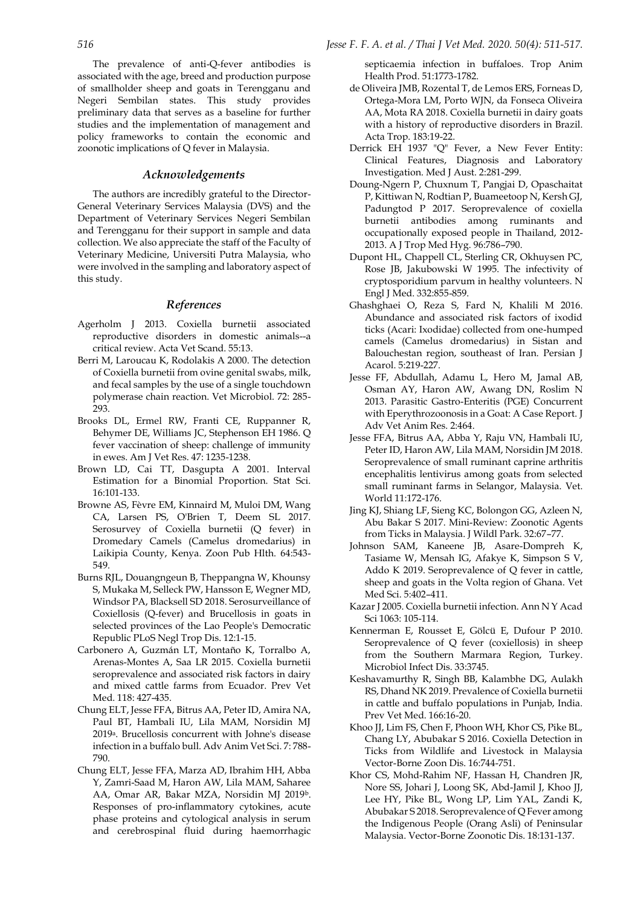The prevalence of anti-Q-fever antibodies is associated with the age, breed and production purpose of smallholder sheep and goats in Terengganu and Negeri Sembilan states. This study provides preliminary data that serves as a baseline for further studies and the implementation of management and policy frameworks to contain the economic and zoonotic implications of Q fever in Malaysia.

#### *Acknowledgements*

The authors are incredibly grateful to the Director-General Veterinary Services Malaysia (DVS) and the Department of Veterinary Services Negeri Sembilan and Terengganu for their support in sample and data collection. We also appreciate the staff of the Faculty of Veterinary Medicine, Universiti Putra Malaysia, who were involved in the sampling and laboratory aspect of this study.

#### *References*

- Agerholm J 2013. Coxiella burnetii associated reproductive disorders in domestic animals--a critical review. Acta Vet Scand. 55:13.
- Berri M, Laroucau K, Rodolakis A 2000. The detection of Coxiella burnetii from ovine genital swabs, milk, and fecal samples by the use of a single touchdown polymerase chain reaction. Vet Microbiol. 72: 285- 293.
- Brooks DL, Ermel RW, Franti CE, Ruppanner R, Behymer DE, Williams JC, Stephenson EH 1986. Q fever vaccination of sheep: challenge of immunity in ewes. Am J Vet Res. 47: 1235-1238.
- Brown LD, Cai TT, Dasgupta A 2001. Interval Estimation for a Binomial Proportion. Stat Sci. 16:101-133.
- Browne AS, Fèvre EM, Kinnaird M, Muloi DM, Wang CA, Larsen PS, O'Brien T, Deem SL 2017. Serosurvey of Coxiella burnetii (Q fever) in Dromedary Camels (Camelus dromedarius) in Laikipia County, Kenya. Zoon Pub Hlth. 64:543- 549.
- Burns RJL, Douangngeun B, Theppangna W, Khounsy S, Mukaka M, Selleck PW, Hansson E, Wegner MD, Windsor PA, Blacksell SD 2018. Serosurveillance of Coxiellosis (Q-fever) and Brucellosis in goats in selected provinces of the Lao People's Democratic Republic PLoS Negl Trop Dis. 12:1-15.
- Carbonero A, Guzmán LT, Montaño K, Torralbo A, Arenas-Montes A, Saa LR 2015. Coxiella burnetii seroprevalence and associated risk factors in dairy and mixed cattle farms from Ecuador. Prev Vet Med. 118: 427-435.
- Chung ELT, Jesse FFA, Bitrus AA, Peter ID, Amira NA, Paul BT, Hambali IU, Lila MAM, Norsidin MJ 2019a. Brucellosis concurrent with Johne's disease infection in a buffalo bull. Adv Anim Vet Sci. 7: 788- 790.
- Chung ELT, Jesse FFA, Marza AD, Ibrahim HH, Abba Y, Zamri-Saad M, Haron AW, Lila MAM, Saharee AA, Omar AR, Bakar MZA, Norsidin MJ 2019b. Responses of pro-inflammatory cytokines, acute phase proteins and cytological analysis in serum and cerebrospinal fluid during haemorrhagic

septicaemia infection in buffaloes. Trop Anim Health Prod. 51:1773-1782.

- de Oliveira JMB, Rozental T, de Lemos ERS, Forneas D, Ortega-Mora LM, Porto WJN, da Fonseca Oliveira AA, Mota RA 2018. Coxiella burnetii in dairy goats with a history of reproductive disorders in Brazil. Acta Trop. 183:19-22.
- Derrick EH 1937 "Q" Fever, a New Fever Entity: Clinical Features, Diagnosis and Laboratory Investigation. Med J Aust. 2:281-299.
- Doung-Ngern P, Chuxnum T, Pangjai D, Opaschaitat P, Kittiwan N, Rodtian P, Buameetoop N, Kersh GJ, Padungtod P 2017. Seroprevalence of coxiella burnetii antibodies among ruminants and occupationally exposed people in Thailand, 2012- 2013. A J Trop Med Hyg. 96:786–790.
- Dupont HL, Chappell CL, Sterling CR, Okhuysen PC, Rose JB, Jakubowski W 1995. The infectivity of cryptosporidium parvum in healthy volunteers. N Engl J Med. 332:855-859.
- Ghashghaei O, Reza S, Fard N, Khalili M 2016. Abundance and associated risk factors of ixodid ticks (Acari: Ixodidae) collected from one-humped camels (Camelus dromedarius) in Sistan and Balouchestan region, southeast of Iran. Persian J Acarol. 5:219-227.
- Jesse FF, Abdullah, Adamu L, Hero M, Jamal AB, Osman AY, Haron AW, Awang DN, Roslim N 2013. Parasitic Gastro-Enteritis (PGE) Concurrent with Eperythrozoonosis in a Goat: A Case Report. J Adv Vet Anim Res. 2:464.
- Jesse FFA, Bitrus AA, Abba Y, Raju VN, Hambali IU, Peter ID, Haron AW, Lila MAM, Norsidin JM 2018. Seroprevalence of small ruminant caprine arthritis encephalitis lentivirus among goats from selected small ruminant farms in Selangor, Malaysia. Vet. World 11:172-176.
- Jing KJ, Shiang LF, Sieng KC, Bolongon GG, Azleen N, Abu Bakar S 2017. Mini-Review: Zoonotic Agents from Ticks in Malaysia. J Wildl Park. 32:67–77.
- Johnson SAM, Kaneene JB, Asare-Dompreh K, Tasiame W, Mensah IG, Afakye K, Simpson S V, Addo K 2019. Seroprevalence of Q fever in cattle, sheep and goats in the Volta region of Ghana. Vet Med Sci. 5:402–411.
- Kazar J 2005. Coxiella burnetii infection. Ann N Y Acad Sci 1063: 105-114.
- Kennerman E, Rousset E, Gölcü E, Dufour P 2010. Seroprevalence of Q fever (coxiellosis) in sheep from the Southern Marmara Region, Turkey. Microbiol Infect Dis. 33:3745.
- Keshavamurthy R, Singh BB, Kalambhe DG, Aulakh RS, Dhand NK 2019. Prevalence of Coxiella burnetii in cattle and buffalo populations in Punjab, India. Prev Vet Med. 166:16-20.
- Khoo JJ, Lim FS, Chen F, Phoon WH, Khor CS, Pike BL, Chang LY, Abubakar S 2016. Coxiella Detection in Ticks from Wildlife and Livestock in Malaysia Vector-Borne Zoon Dis. 16:744-751.
- Khor CS, Mohd-Rahim NF, Hassan H, Chandren JR, Nore SS, Johari J, Loong SK, Abd-Jamil J, Khoo JJ, Lee HY, Pike BL, Wong LP, Lim YAL, Zandi K, Abubakar S 2018. Seroprevalence of Q Fever among the Indigenous People (Orang Asli) of Peninsular Malaysia. Vector-Borne Zoonotic Dis. 18:131-137.